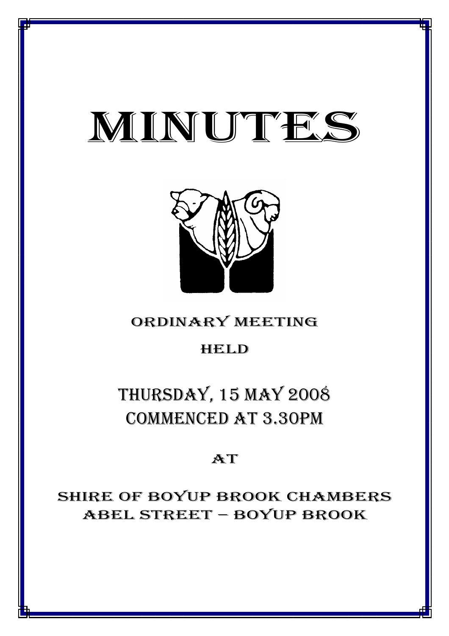# MINUTES

*MINUTES OF THE ORDINARY MEETING OF COUNCIL HELD ON 15 MAY 2008*



# ORDINARY MEETING

# HELD

# THURSDAY, 15 MAY 2008 COMMENCED AT 3.30PM

# AT

# SHIRE OF BOYUP BROOK CHAMBERS ABEL STREET – BOYUP BROOK

1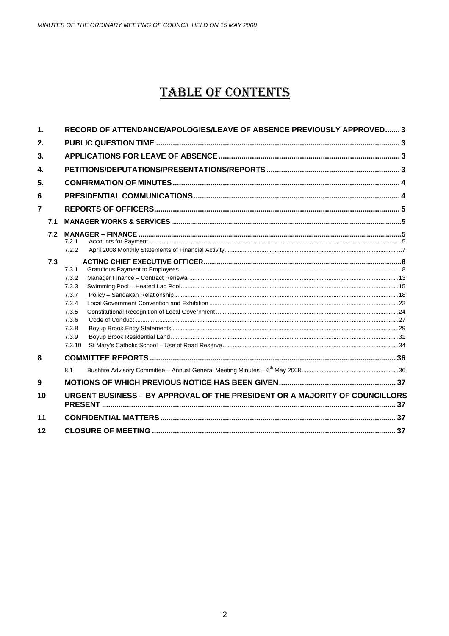# **TABLE OF CONTENTS**

| $\mathbf 1$      | RECORD OF ATTENDANCE/APOLOGIES/LEAVE OF ABSENCE PREVIOUSLY APPROVED 3 |                |                                                                             |  |
|------------------|-----------------------------------------------------------------------|----------------|-----------------------------------------------------------------------------|--|
| 2.               |                                                                       |                |                                                                             |  |
| 3.               |                                                                       |                |                                                                             |  |
| 4.               |                                                                       |                |                                                                             |  |
| 5.               |                                                                       |                |                                                                             |  |
| 6                |                                                                       |                |                                                                             |  |
| $\overline{7}$   |                                                                       |                |                                                                             |  |
|                  | 7.1                                                                   |                |                                                                             |  |
|                  | 7.2                                                                   | 7.2.1<br>7.2.2 |                                                                             |  |
|                  | 7.3                                                                   |                |                                                                             |  |
|                  |                                                                       | 7.3.1<br>7.3.2 |                                                                             |  |
|                  |                                                                       | 7.3.3          |                                                                             |  |
|                  |                                                                       | 7.3.7          |                                                                             |  |
|                  |                                                                       | 7.3.4          |                                                                             |  |
|                  |                                                                       | 7.3.5          |                                                                             |  |
|                  |                                                                       | 7.3.6<br>7.3.8 |                                                                             |  |
|                  |                                                                       | 7.3.9          |                                                                             |  |
|                  |                                                                       | 7.3.10         |                                                                             |  |
| 8                |                                                                       |                |                                                                             |  |
|                  |                                                                       | 8.1            |                                                                             |  |
| $\boldsymbol{9}$ |                                                                       |                |                                                                             |  |
| 10               |                                                                       |                | URGENT BUSINESS - BY APPROVAL OF THE PRESIDENT OR A MAJORITY OF COUNCILLORS |  |
| 11               |                                                                       |                |                                                                             |  |
| 12               |                                                                       |                |                                                                             |  |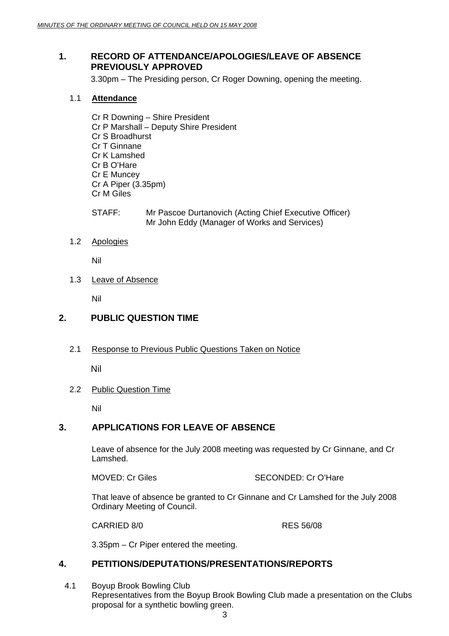# **1. RECORD OF ATTENDANCE/APOLOGIES/LEAVE OF ABSENCE PREVIOUSLY APPROVED**

3.30pm – The Presiding person, Cr Roger Downing, opening the meeting.

#### 1.1 **Attendance**

- Cr R Downing Shire President Cr P Marshall – Deputy Shire President Cr S Broadhurst Cr T Ginnane Cr K Lamshed Cr B O'Hare Cr E Muncey Cr A Piper (3.35pm) Cr M Giles
- STAFF: Mr Pascoe Durtanovich (Acting Chief Executive Officer) Mr John Eddy (Manager of Works and Services)
- 1.2 Apologies

Nil

1.3 Leave of Absence

Nil

# **2. PUBLIC QUESTION TIME**

2.1 Response to Previous Public Questions Taken on Notice

Nil

#### 2.2 Public Question Time

Nil

# **3. APPLICATIONS FOR LEAVE OF ABSENCE**

Leave of absence for the July 2008 meeting was requested by Cr Ginnane, and Cr Lamshed.

MOVED: Cr Giles SECONDED: Cr O'Hare

That leave of absence be granted to Cr Ginnane and Cr Lamshed for the July 2008 Ordinary Meeting of Council.

CARRIED 8/0 RES 56/08

3.35pm – Cr Piper entered the meeting.

#### **4. PETITIONS/DEPUTATIONS/PRESENTATIONS/REPORTS**

4.1 Boyup Brook Bowling Club Representatives from the Boyup Brook Bowling Club made a presentation on the Clubs proposal for a synthetic bowling green.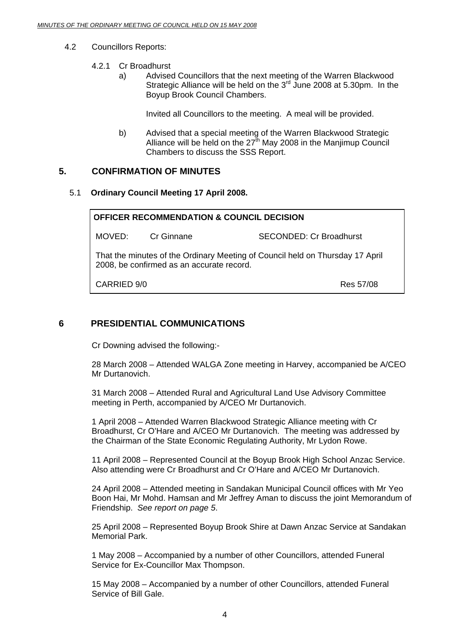#### 4.2 Councillors Reports:

#### 4.2.1 Cr Broadhurst

a) Advised Councillors that the next meeting of the Warren Blackwood Strategic Alliance will be held on the  $3<sup>rd</sup>$  June 2008 at 5.30pm. In the Boyup Brook Council Chambers.

Invited all Councillors to the meeting. A meal will be provided.

b) Advised that a special meeting of the Warren Blackwood Strategic Alliance will be held on the  $27<sup>th</sup>$  May 2008 in the Manjimup Council Chambers to discuss the SSS Report.

# **5. CONFIRMATION OF MINUTES**

#### 5.1 **Ordinary Council Meeting 17 April 2008.**

| <b>OFFICER RECOMMENDATION &amp; COUNCIL DECISION</b>                                                                       |  |                                |
|----------------------------------------------------------------------------------------------------------------------------|--|--------------------------------|
| MOVED: Cr Ginnane                                                                                                          |  | <b>SECONDED: Cr Broadhurst</b> |
| That the minutes of the Ordinary Meeting of Council held on Thursday 17 April<br>2008, be confirmed as an accurate record. |  |                                |
| CARRIED 9/0                                                                                                                |  | Res 57/08                      |

# **6 PRESIDENTIAL COMMUNICATIONS**

Cr Downing advised the following:-

28 March 2008 – Attended WALGA Zone meeting in Harvey, accompanied be A/CEO Mr Durtanovich.

31 March 2008 – Attended Rural and Agricultural Land Use Advisory Committee meeting in Perth, accompanied by A/CEO Mr Durtanovich.

1 April 2008 – Attended Warren Blackwood Strategic Alliance meeting with Cr Broadhurst, Cr O'Hare and A/CEO Mr Durtanovich. The meeting was addressed by the Chairman of the State Economic Regulating Authority, Mr Lydon Rowe.

11 April 2008 – Represented Council at the Boyup Brook High School Anzac Service. Also attending were Cr Broadhurst and Cr O'Hare and A/CEO Mr Durtanovich.

24 April 2008 – Attended meeting in Sandakan Municipal Council offices with Mr Yeo Boon Hai, Mr Mohd. Hamsan and Mr Jeffrey Aman to discuss the joint Memorandum of Friendship. *See report on page 5*.

25 April 2008 – Represented Boyup Brook Shire at Dawn Anzac Service at Sandakan Memorial Park.

1 May 2008 – Accompanied by a number of other Councillors, attended Funeral Service for Ex-Councillor Max Thompson.

15 May 2008 – Accompanied by a number of other Councillors, attended Funeral Service of Bill Gale.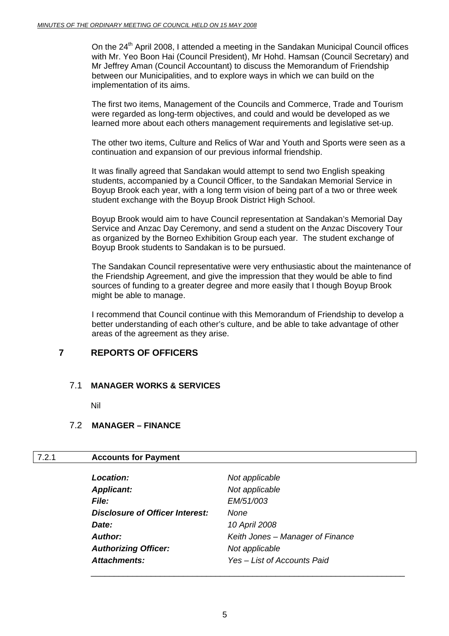On the 24<sup>th</sup> April 2008, I attended a meeting in the Sandakan Municipal Council offices with Mr. Yeo Boon Hai (Council President), Mr Hohd. Hamsan (Council Secretary) and Mr Jeffrey Aman (Council Accountant) to discuss the Memorandum of Friendship between our Municipalities, and to explore ways in which we can build on the implementation of its aims.

The first two items, Management of the Councils and Commerce, Trade and Tourism were regarded as long-term objectives, and could and would be developed as we learned more about each others management requirements and legislative set-up.

The other two items, Culture and Relics of War and Youth and Sports were seen as a continuation and expansion of our previous informal friendship.

It was finally agreed that Sandakan would attempt to send two English speaking students, accompanied by a Council Officer, to the Sandakan Memorial Service in Boyup Brook each year, with a long term vision of being part of a two or three week student exchange with the Boyup Brook District High School.

Boyup Brook would aim to have Council representation at Sandakan's Memorial Day Service and Anzac Day Ceremony, and send a student on the Anzac Discovery Tour as organized by the Borneo Exhibition Group each year. The student exchange of Boyup Brook students to Sandakan is to be pursued.

The Sandakan Council representative were very enthusiastic about the maintenance of the Friendship Agreement, and give the impression that they would be able to find sources of funding to a greater degree and more easily that I though Boyup Brook might be able to manage.

I recommend that Council continue with this Memorandum of Friendship to develop a better understanding of each other's culture, and be able to take advantage of other areas of the agreement as they arise.

# **7 REPORTS OF OFFICERS**

#### 7.1 **MANAGER WORKS & SERVICES**

Nil

# 7.2 **MANAGER – FINANCE**

#### 7.2.1 **Accounts for Payment**

| <b>Location:</b>                | Not applicable                   |
|---------------------------------|----------------------------------|
| <b>Applicant:</b>               | Not applicable                   |
| <i>File:</i>                    | <i>EM/51/003</i>                 |
| Disclosure of Officer Interest: | <b>None</b>                      |
| Date:                           | 10 April 2008                    |
| <b>Author:</b>                  | Keith Jones - Manager of Finance |
| <b>Authorizing Officer:</b>     | Not applicable                   |
| Attachments:                    | Yes - List of Accounts Paid      |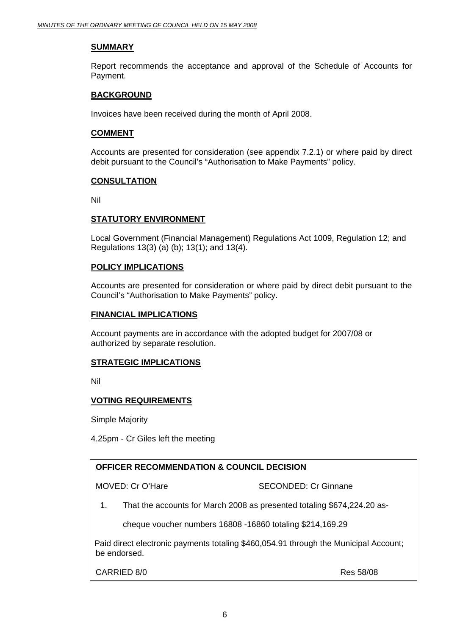#### **SUMMARY**

Report recommends the acceptance and approval of the Schedule of Accounts for Payment.

#### **BACKGROUND**

Invoices have been received during the month of April 2008.

#### **COMMENT**

Accounts are presented for consideration (see appendix 7.2.1) or where paid by direct debit pursuant to the Council's "Authorisation to Make Payments" policy.

#### **CONSULTATION**

Nil

#### **STATUTORY ENVIRONMENT**

 Local Government (Financial Management) Regulations Act 1009, Regulation 12; and Regulations 13(3) (a) (b); 13(1); and 13(4).

#### **POLICY IMPLICATIONS**

Accounts are presented for consideration or where paid by direct debit pursuant to the Council's "Authorisation to Make Payments" policy.

#### **FINANCIAL IMPLICATIONS**

Account payments are in accordance with the adopted budget for 2007/08 or authorized by separate resolution.

#### **STRATEGIC IMPLICATIONS**

Nil

#### **VOTING REQUIREMENTS**

Simple Majority

4.25pm - Cr Giles left the meeting

# **OFFICER RECOMMENDATION & COUNCIL DECISION**

MOVED: Cr O'Hare SECONDED: Cr Ginnane

1. That the accounts for March 2008 as presented totaling \$674,224.20 as-

cheque voucher numbers 16808 -16860 totaling \$214,169.29

Paid direct electronic payments totaling \$460,054.91 through the Municipal Account; be endorsed.

CARRIED 8/0 Res 58/08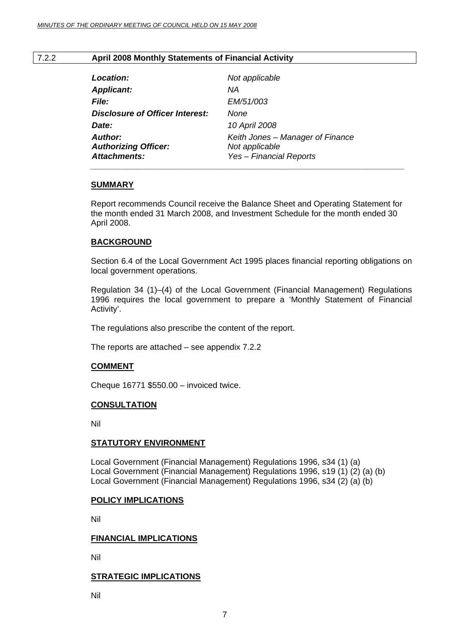#### 7.2.2 **April 2008 Monthly Statements of Financial Activity**

| Location:                                                            | Not applicable                                                                |
|----------------------------------------------------------------------|-------------------------------------------------------------------------------|
| <b>Applicant:</b>                                                    | NА                                                                            |
| <i>File:</i>                                                         | <i>EM/51/003</i>                                                              |
| Disclosure of Officer Interest:                                      | None                                                                          |
| Date:                                                                | 10 April 2008                                                                 |
| <b>Author:</b><br><b>Authorizing Officer:</b><br><b>Attachments:</b> | Keith Jones - Manager of Finance<br>Not applicable<br>Yes - Financial Reports |

#### **SUMMARY**

Report recommends Council receive the Balance Sheet and Operating Statement for the month ended 31 March 2008, and Investment Schedule for the month ended 30 April 2008.

#### **BACKGROUND**

Section 6.4 of the Local Government Act 1995 places financial reporting obligations on local government operations.

Regulation 34 (1)–(4) of the Local Government (Financial Management) Regulations 1996 requires the local government to prepare a 'Monthly Statement of Financial Activity'.

The regulations also prescribe the content of the report.

The reports are attached – see appendix 7.2.2

#### **COMMENT**

Cheque 16771 \$550.00 – invoiced twice.

#### **CONSULTATION**

Nil

#### **STATUTORY ENVIRONMENT**

Local Government (Financial Management) Regulations 1996, s34 (1) (a) Local Government (Financial Management) Regulations 1996, s19 (1) (2) (a) (b) Local Government (Financial Management) Regulations 1996, s34 (2) (a) (b)

#### **POLICY IMPLICATIONS**

Nil

#### **FINANCIAL IMPLICATIONS**

Nil

#### **STRATEGIC IMPLICATIONS**

Nil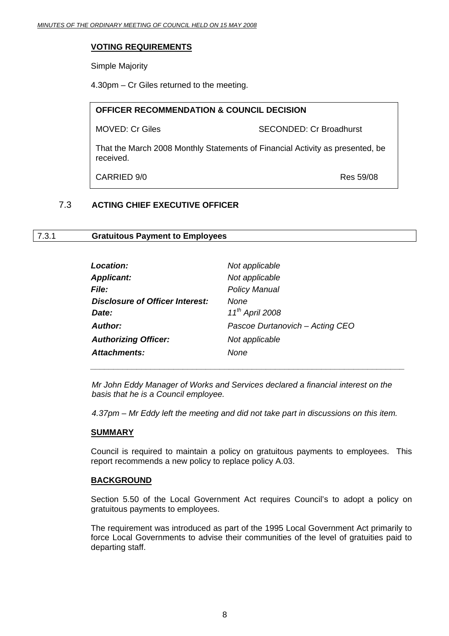#### **VOTING REQUIREMENTS**

Simple Majority

4.30pm – Cr Giles returned to the meeting.

# **OFFICER RECOMMENDATION & COUNCIL DECISION**  MOVED: Cr Giles SECONDED: Cr Broadhurst That the March 2008 Monthly Statements of Financial Activity as presented, be received.

CARRIED 9/0 Res 59/08

# 7.3 **ACTING CHIEF EXECUTIVE OFFICER**

#### 7.3.1 **Gratuitous Payment to Employees**

| Location:                       | Not applicable                  |
|---------------------------------|---------------------------------|
| <b>Applicant:</b>               | Not applicable                  |
| <b>File:</b>                    | <b>Policy Manual</b>            |
| Disclosure of Officer Interest: | None                            |
| Date:                           | 11 <sup>th</sup> April 2008     |
| <b>Author:</b>                  | Pascoe Durtanovich - Acting CEO |
| <b>Authorizing Officer:</b>     | Not applicable                  |
| Attachments:                    | None                            |

*Mr John Eddy Manager of Works and Services declared a financial interest on the basis that he is a Council employee.* 

*4.37pm – Mr Eddy left the meeting and did not take part in discussions on this item.* 

#### **SUMMARY**

Council is required to maintain a policy on gratuitous payments to employees. This report recommends a new policy to replace policy A.03.

#### **BACKGROUND**

Section 5.50 of the Local Government Act requires Council's to adopt a policy on gratuitous payments to employees.

The requirement was introduced as part of the 1995 Local Government Act primarily to force Local Governments to advise their communities of the level of gratuities paid to departing staff.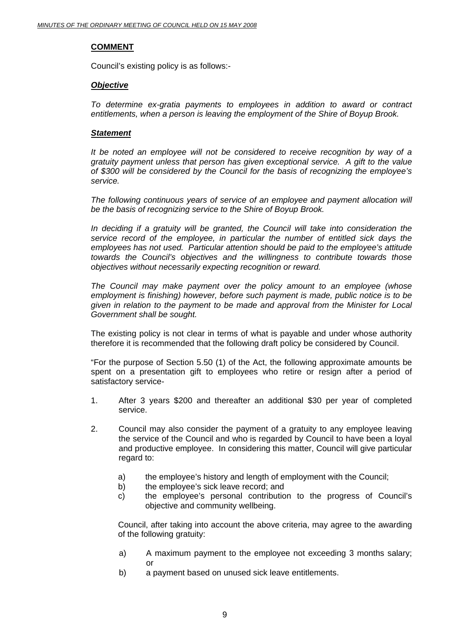#### **COMMENT**

Council's existing policy is as follows:-

#### *Objective*

*To determine ex-gratia payments to employees in addition to award or contract entitlements, when a person is leaving the employment of the Shire of Boyup Brook.* 

#### *Statement*

*It be noted an employee will not be considered to receive recognition by way of a gratuity payment unless that person has given exceptional service. A gift to the value of \$300 will be considered by the Council for the basis of recognizing the employee's service.* 

The following continuous years of service of an employee and payment allocation will *be the basis of recognizing service to the Shire of Boyup Brook.* 

*In deciding if a gratuity will be granted, the Council will take into consideration the service record of the employee, in particular the number of entitled sick days the employees has not used. Particular attention should be paid to the employee's attitude towards the Council's objectives and the willingness to contribute towards those objectives without necessarily expecting recognition or reward.* 

*The Council may make payment over the policy amount to an employee (whose employment is finishing) however, before such payment is made, public notice is to be given in relation to the payment to be made and approval from the Minister for Local Government shall be sought.* 

The existing policy is not clear in terms of what is payable and under whose authority therefore it is recommended that the following draft policy be considered by Council.

"For the purpose of Section 5.50 (1) of the Act, the following approximate amounts be spent on a presentation gift to employees who retire or resign after a period of satisfactory service-

- 1. After 3 years \$200 and thereafter an additional \$30 per year of completed service.
- 2. Council may also consider the payment of a gratuity to any employee leaving the service of the Council and who is regarded by Council to have been a loyal and productive employee. In considering this matter, Council will give particular regard to:
	- a) the employee's history and length of employment with the Council;
	- b) the employee's sick leave record; and
	- c) the employee's personal contribution to the progress of Council's objective and community wellbeing.

Council, after taking into account the above criteria, may agree to the awarding of the following gratuity:

- a) A maximum payment to the employee not exceeding 3 months salary; or
- b) a payment based on unused sick leave entitlements.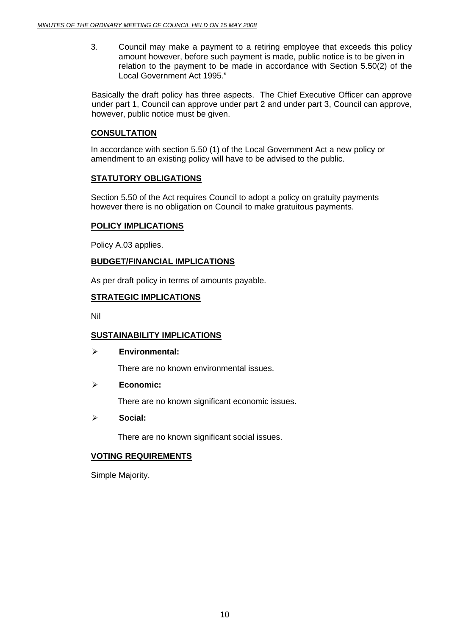3. Council may make a payment to a retiring employee that exceeds this policy amount however, before such payment is made, public notice is to be given in relation to the payment to be made in accordance with Section 5.50(2) of the Local Government Act 1995."

Basically the draft policy has three aspects. The Chief Executive Officer can approve under part 1, Council can approve under part 2 and under part 3, Council can approve, however, public notice must be given.

#### **CONSULTATION**

In accordance with section 5.50 (1) of the Local Government Act a new policy or amendment to an existing policy will have to be advised to the public.

# **STATUTORY OBLIGATIONS**

Section 5.50 of the Act requires Council to adopt a policy on gratuity payments however there is no obligation on Council to make gratuitous payments.

#### **POLICY IMPLICATIONS**

Policy A.03 applies.

# **BUDGET/FINANCIAL IMPLICATIONS**

As per draft policy in terms of amounts payable.

# **STRATEGIC IMPLICATIONS**

Nil

# **SUSTAINABILITY IMPLICATIONS**

#### ¾ **Environmental:**

There are no known environmental issues.

#### ¾ **Economic:**

There are no known significant economic issues.

#### ¾ **Social:**

There are no known significant social issues.

#### **VOTING REQUIREMENTS**

Simple Majority.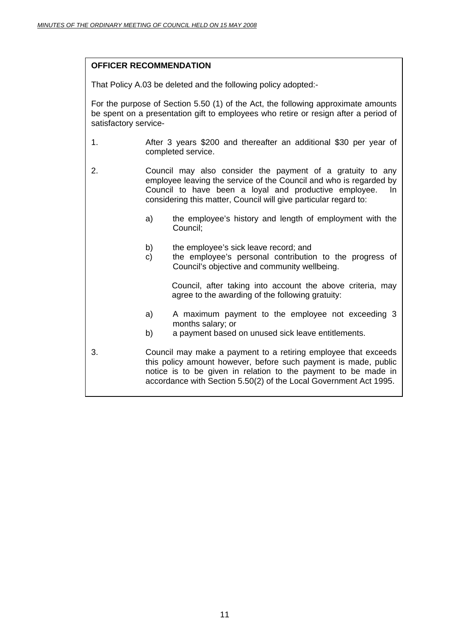# **OFFICER RECOMMENDATION**

That Policy A.03 be deleted and the following policy adopted:-

For the purpose of Section 5.50 (1) of the Act, the following approximate amounts be spent on a presentation gift to employees who retire or resign after a period of satisfactory service-

- 1. After 3 years \$200 and thereafter an additional \$30 per year of completed service.
- 2. Council may also consider the payment of a gratuity to any employee leaving the service of the Council and who is regarded by Council to have been a loyal and productive employee. In considering this matter, Council will give particular regard to:
	- a) the employee's history and length of employment with the Council;
	- b) the employee's sick leave record; and
	- c) the employee's personal contribution to the progress of Council's objective and community wellbeing.

Council, after taking into account the above criteria, may agree to the awarding of the following gratuity:

- a) A maximum payment to the employee not exceeding 3 months salary; or
- b) a payment based on unused sick leave entitlements.
- 3. Council may make a payment to a retiring employee that exceeds this policy amount however, before such payment is made, public notice is to be given in relation to the payment to be made in accordance with Section 5.50(2) of the Local Government Act 1995.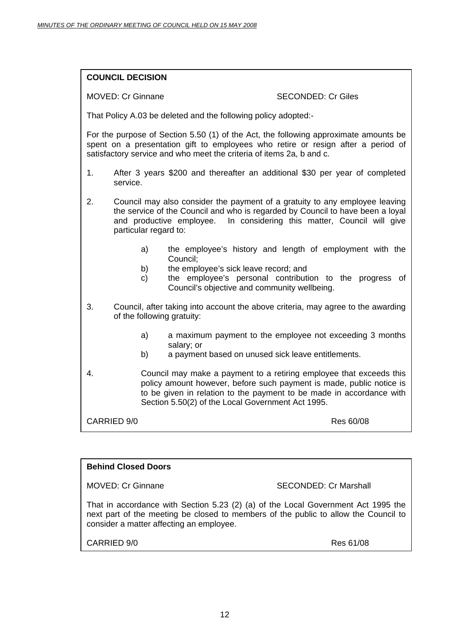| <b>COUNCIL DECISION</b> |
|-------------------------|
|-------------------------|

#### MOVED: Cr Ginnane SECONDED: Cr Giles

That Policy A.03 be deleted and the following policy adopted:-

For the purpose of Section 5.50 (1) of the Act, the following approximate amounts be spent on a presentation gift to employees who retire or resign after a period of satisfactory service and who meet the criteria of items 2a, b and c.

- 1. After 3 years \$200 and thereafter an additional \$30 per year of completed service.
- 2. Council may also consider the payment of a gratuity to any employee leaving the service of the Council and who is regarded by Council to have been a loyal and productive employee. In considering this matter, Council will give particular regard to:
	- a) the employee's history and length of employment with the Council;
	- b) the employee's sick leave record; and
	- c) the employee's personal contribution to the progress of Council's objective and community wellbeing.
- 3. Council, after taking into account the above criteria, may agree to the awarding of the following gratuity:
	- a) a maximum payment to the employee not exceeding 3 months salary; or
	- b) a payment based on unused sick leave entitlements.
- 4. Council may make a payment to a retiring employee that exceeds this policy amount however, before such payment is made, public notice is to be given in relation to the payment to be made in accordance with Section 5.50(2) of the Local Government Act 1995.

CARRIED 9/0 Res 60/08

# **Behind Closed Doors**

MOVED: Cr Ginnane SECONDED: Cr Marshall

That in accordance with Section 5.23 (2) (a) of the Local Government Act 1995 the next part of the meeting be closed to members of the public to allow the Council to consider a matter affecting an employee.

CARRIED 9/0 Res 61/08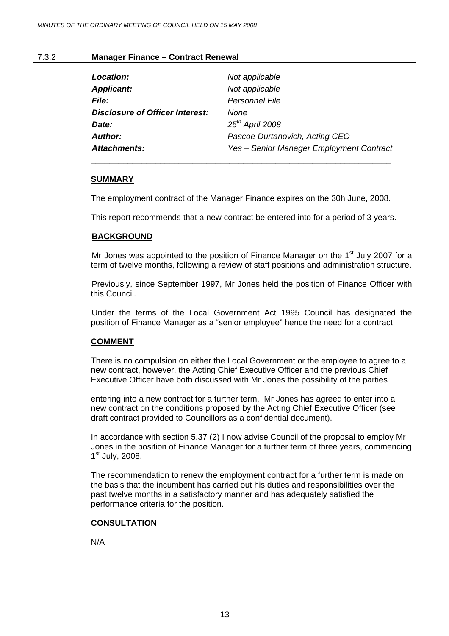#### 7.3.2 **Manager Finance – Contract Renewal**

| Location:                              | Not applicable                           |
|----------------------------------------|------------------------------------------|
| <b>Applicant:</b>                      | Not applicable                           |
| <b>File:</b>                           | <b>Personnel File</b>                    |
| <b>Disclosure of Officer Interest:</b> | None                                     |
| Date:                                  | $25th$ April 2008                        |
| <b>Author:</b>                         | Pascoe Durtanovich, Acting CEO           |
| <b>Attachments:</b>                    | Yes - Senior Manager Employment Contract |

#### **SUMMARY**

The employment contract of the Manager Finance expires on the 30h June, 2008.

 $\overline{\phantom{a}}$  , and the contract of the contract of the contract of the contract of the contract of the contract of the contract of the contract of the contract of the contract of the contract of the contract of the contrac

This report recommends that a new contract be entered into for a period of 3 years.

#### **BACKGROUND**

Mr Jones was appointed to the position of Finance Manager on the  $1<sup>st</sup>$  July 2007 for a term of twelve months, following a review of staff positions and administration structure.

Previously, since September 1997, Mr Jones held the position of Finance Officer with this Council.

Under the terms of the Local Government Act 1995 Council has designated the position of Finance Manager as a "senior employee" hence the need for a contract.

#### **COMMENT**

There is no compulsion on either the Local Government or the employee to agree to a new contract, however, the Acting Chief Executive Officer and the previous Chief Executive Officer have both discussed with Mr Jones the possibility of the parties

entering into a new contract for a further term. Mr Jones has agreed to enter into a new contract on the conditions proposed by the Acting Chief Executive Officer (see draft contract provided to Councillors as a confidential document).

In accordance with section 5.37 (2) I now advise Council of the proposal to employ Mr Jones in the position of Finance Manager for a further term of three years, commencing  $1<sup>st</sup>$  July, 2008.

The recommendation to renew the employment contract for a further term is made on the basis that the incumbent has carried out his duties and responsibilities over the past twelve months in a satisfactory manner and has adequately satisfied the performance criteria for the position.

#### **CONSULTATION**

N/A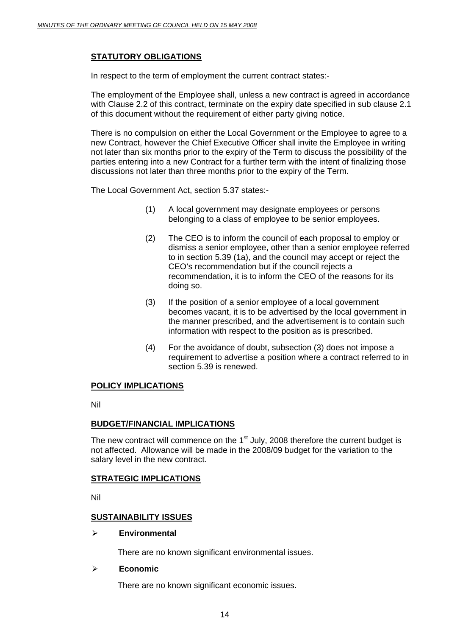# **STATUTORY OBLIGATIONS**

In respect to the term of employment the current contract states:-

The employment of the Employee shall, unless a new contract is agreed in accordance with Clause 2.2 of this contract, terminate on the expiry date specified in sub clause 2.1 of this document without the requirement of either party giving notice.

There is no compulsion on either the Local Government or the Employee to agree to a new Contract, however the Chief Executive Officer shall invite the Employee in writing not later than six months prior to the expiry of the Term to discuss the possibility of the parties entering into a new Contract for a further term with the intent of finalizing those discussions not later than three months prior to the expiry of the Term.

The Local Government Act, section 5.37 states:-

- (1) A local government may designate employees or persons belonging to a class of employee to be senior employees.
- (2) The CEO is to inform the council of each proposal to employ or dismiss a senior employee, other than a senior employee referred to in section 5.39 (1a), and the council may accept or reject the CEO's recommendation but if the council rejects a recommendation, it is to inform the CEO of the reasons for its doing so.
- (3) If the position of a senior employee of a local government becomes vacant, it is to be advertised by the local government in the manner prescribed, and the advertisement is to contain such information with respect to the position as is prescribed.
- (4) For the avoidance of doubt, subsection (3) does not impose a requirement to advertise a position where a contract referred to in section 5.39 is renewed.

#### **POLICY IMPLICATIONS**

Nil

#### **BUDGET/FINANCIAL IMPLICATIONS**

The new contract will commence on the  $1<sup>st</sup>$  July, 2008 therefore the current budget is not affected. Allowance will be made in the 2008/09 budget for the variation to the salary level in the new contract.

#### **STRATEGIC IMPLICATIONS**

Nil

#### **SUSTAINABILITY ISSUES**

#### ¾ **Environmental**

There are no known significant environmental issues.

#### ¾ **Economic**

There are no known significant economic issues.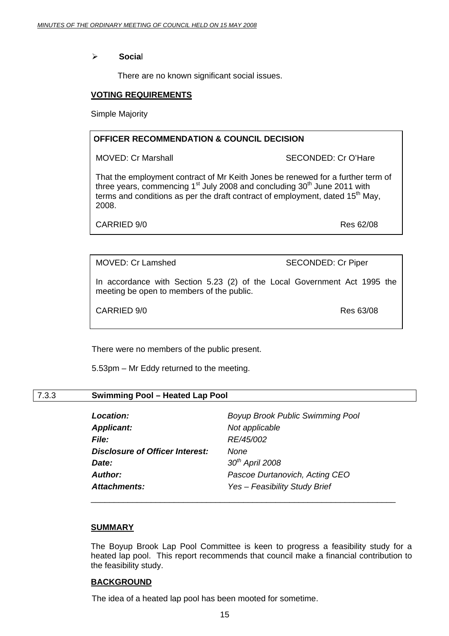¾ **Socia**l

There are no known significant social issues.

#### **VOTING REQUIREMENTS**

Simple Majority

#### **OFFICER RECOMMENDATION & COUNCIL DECISION**

MOVED: Cr Marshall SECONDED: Cr O'Hare

That the employment contract of Mr Keith Jones be renewed for a further term of three years, commencing  $1<sup>st</sup>$  July 2008 and concluding  $30<sup>th</sup>$  June 2011 with terms and conditions as per the draft contract of employment, dated  $15<sup>th</sup>$  May, 2008.

CARRIED 9/0 Res 62/08

MOVED: Cr Lamshed SECONDED: Cr Piper

In accordance with Section 5.23 (2) of the Local Government Act 1995 the meeting be open to members of the public.

CARRIED 9/0

There were no members of the public present.

5.53pm – Mr Eddy returned to the meeting.

#### 7.3.3 **Swimming Pool – Heated Lap Pool**

| Location:                              | <b>Boyup Brook Public Swimming Pool</b> |
|----------------------------------------|-----------------------------------------|
| <b>Applicant:</b>                      | Not applicable                          |
| <b>File:</b>                           | RE/45/002                               |
| <b>Disclosure of Officer Interest:</b> | None                                    |
| Date:                                  | $30th$ April 2008                       |
| Author:                                | Pascoe Durtanovich, Acting CEO          |
| <b>Attachments:</b>                    | Yes - Feasibility Study Brief           |

#### **SUMMARY**

The Boyup Brook Lap Pool Committee is keen to progress a feasibility study for a heated lap pool. This report recommends that council make a financial contribution to the feasibility study.

\_\_\_\_\_\_\_\_\_\_\_\_\_\_\_\_\_\_\_\_\_\_\_\_\_\_\_\_\_\_\_\_\_\_\_\_\_\_\_\_\_\_\_\_\_\_\_\_\_\_\_\_\_\_\_\_\_\_\_\_\_\_\_\_\_\_

#### **BACKGROUND**

The idea of a heated lap pool has been mooted for sometime.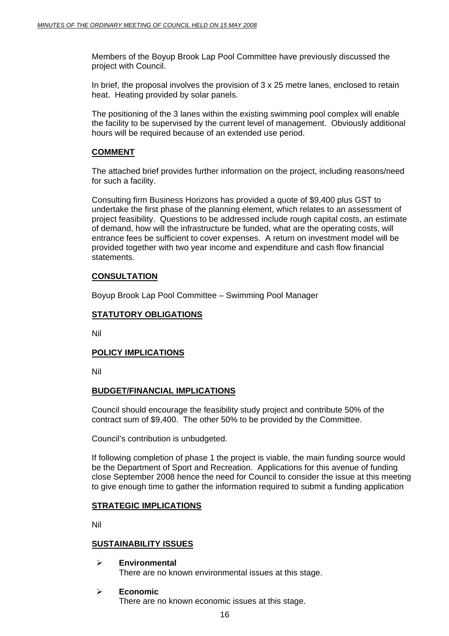Members of the Boyup Brook Lap Pool Committee have previously discussed the project with Council.

In brief, the proposal involves the provision of 3 x 25 metre lanes, enclosed to retain heat. Heating provided by solar panels.

The positioning of the 3 lanes within the existing swimming pool complex will enable the facility to be supervised by the current level of management. Obviously additional hours will be required because of an extended use period.

# **COMMENT**

The attached brief provides further information on the project, including reasons/need for such a facility.

Consulting firm Business Horizons has provided a quote of \$9,400 plus GST to undertake the first phase of the planning element, which relates to an assessment of project feasibility. Questions to be addressed include rough capital costs, an estimate of demand, how will the infrastructure be funded, what are the operating costs, will entrance fees be sufficient to cover expenses. A return on investment model will be provided together with two year income and expenditure and cash flow financial statements

#### **CONSULTATION**

Boyup Brook Lap Pool Committee – Swimming Pool Manager

# **STATUTORY OBLIGATIONS**

Nil

#### **POLICY IMPLICATIONS**

Nil

#### **BUDGET/FINANCIAL IMPLICATIONS**

Council should encourage the feasibility study project and contribute 50% of the contract sum of \$9,400. The other 50% to be provided by the Committee.

Council's contribution is unbudgeted.

If following completion of phase 1 the project is viable, the main funding source would be the Department of Sport and Recreation. Applications for this avenue of funding close September 2008 hence the need for Council to consider the issue at this meeting to give enough time to gather the information required to submit a funding application

#### **STRATEGIC IMPLICATIONS**

Nil

#### **SUSTAINABILITY ISSUES**

- ¾ **Environmental**  There are no known environmental issues at this stage.
- ¾ **Economic**  There are no known economic issues at this stage.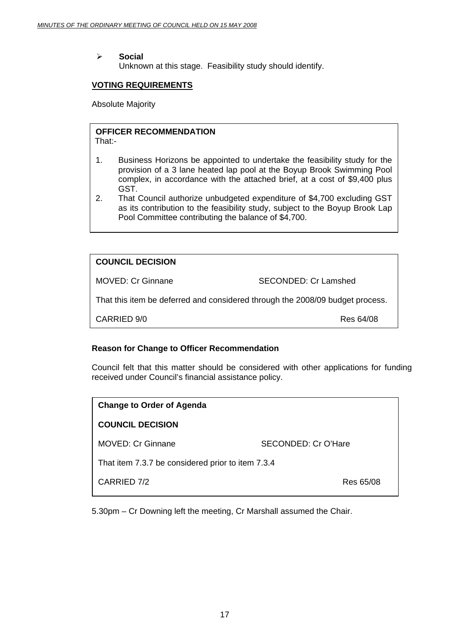#### ¾ **Social**

Unknown at this stage. Feasibility study should identify.

#### **VOTING REQUIREMENTS**

Absolute Majority

# **OFFICER RECOMMENDATION**

That:-

- 1. Business Horizons be appointed to undertake the feasibility study for the provision of a 3 lane heated lap pool at the Boyup Brook Swimming Pool complex, in accordance with the attached brief, at a cost of \$9,400 plus GST.
- 2. That Council authorize unbudgeted expenditure of \$4,700 excluding GST as its contribution to the feasibility study, subject to the Boyup Brook Lap Pool Committee contributing the balance of \$4,700.

# **COUNCIL DECISION**

MOVED: Cr Ginnane SECONDED: Cr Lamshed

That this item be deferred and considered through the 2008/09 budget process.

CARRIED 9/0 Res 64/08

#### **Reason for Change to Officer Recommendation**

Council felt that this matter should be considered with other applications for funding received under Council's financial assistance policy.

| <b>Change to Order of Agenda</b>                  |                     |  |
|---------------------------------------------------|---------------------|--|
| <b>COUNCIL DECISION</b>                           |                     |  |
| <b>MOVED: Cr Ginnane</b>                          | SECONDED: Cr O'Hare |  |
| That item 7.3.7 be considered prior to item 7.3.4 |                     |  |
| CARRIED 7/2                                       | Res 65/08           |  |

5.30pm – Cr Downing left the meeting, Cr Marshall assumed the Chair.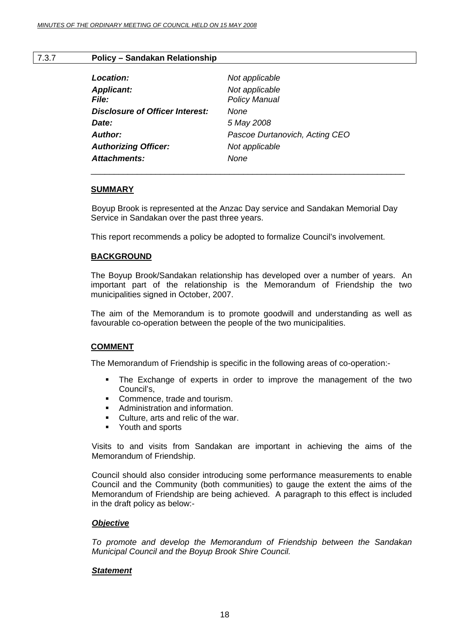#### 7.3.7 **Policy – Sandakan Relationship**

| Not applicable<br><b>Policy Manual</b> |
|----------------------------------------|
|                                        |
|                                        |
| None                                   |
| 5 May 2008                             |
| Pascoe Durtanovich, Acting CEO         |
| Not applicable                         |
| None                                   |
|                                        |

#### **SUMMARY**

 Boyup Brook is represented at the Anzac Day service and Sandakan Memorial Day Service in Sandakan over the past three years.

This report recommends a policy be adopted to formalize Council's involvement.

#### **BACKGROUND**

The Boyup Brook/Sandakan relationship has developed over a number of years. An important part of the relationship is the Memorandum of Friendship the two municipalities signed in October, 2007.

The aim of the Memorandum is to promote goodwill and understanding as well as favourable co-operation between the people of the two municipalities.

#### **COMMENT**

The Memorandum of Friendship is specific in the following areas of co-operation:-

- The Exchange of experts in order to improve the management of the two Council's,
- Commence, trade and tourism.
- **Administration and information.**
- Culture, arts and relic of the war.
- **•** Youth and sports

Visits to and visits from Sandakan are important in achieving the aims of the Memorandum of Friendship.

Council should also consider introducing some performance measurements to enable Council and the Community (both communities) to gauge the extent the aims of the Memorandum of Friendship are being achieved. A paragraph to this effect is included in the draft policy as below:-

#### *Objective*

*To promote and develop the Memorandum of Friendship between the Sandakan Municipal Council and the Boyup Brook Shire Council.* 

#### *Statement*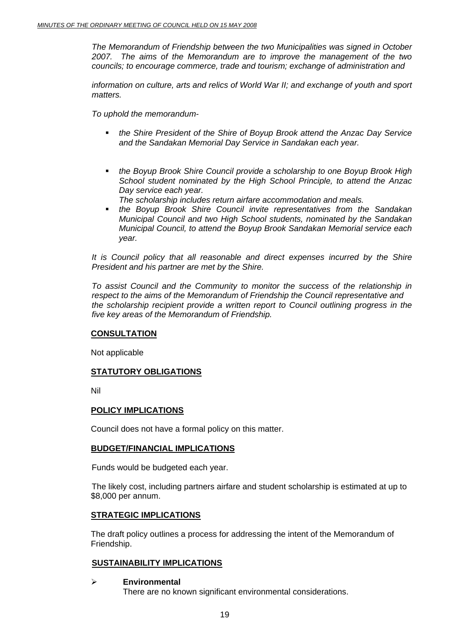*The Memorandum of Friendship between the two Municipalities was signed in October 2007. The aims of the Memorandum are to improve the management of the two councils; to encourage commerce, trade and tourism; exchange of administration and* 

*information on culture, arts and relics of World War II; and exchange of youth and sport matters.* 

*To uphold the memorandum-* 

- *the Shire President of the Shire of Boyup Brook attend the Anzac Day Service and the Sandakan Memorial Day Service in Sandakan each year.*
- *the Boyup Brook Shire Council provide a scholarship to one Boyup Brook High School student nominated by the High School Principle, to attend the Anzac Day service each year.* 
	- *The scholarship includes return airfare accommodation and meals.*
- *the Boyup Brook Shire Council invite representatives from the Sandakan Municipal Council and two High School students, nominated by the Sandakan Municipal Council, to attend the Boyup Brook Sandakan Memorial service each year.*

*It is Council policy that all reasonable and direct expenses incurred by the Shire President and his partner are met by the Shire.* 

*To assist Council and the Community to monitor the success of the relationship in respect to the aims of the Memorandum of Friendship the Council representative and the scholarship recipient provide a written report to Council outlining progress in the five key areas of the Memorandum of Friendship.* 

#### **CONSULTATION**

Not applicable

#### **STATUTORY OBLIGATIONS**

Nil

#### **POLICY IMPLICATIONS**

Council does not have a formal policy on this matter.

#### **BUDGET/FINANCIAL IMPLICATIONS**

Funds would be budgeted each year.

 The likely cost, including partners airfare and student scholarship is estimated at up to \$8,000 per annum.

#### **STRATEGIC IMPLICATIONS**

The draft policy outlines a process for addressing the intent of the Memorandum of Friendship.

#### **SUSTAINABILITY IMPLICATIONS**

¾ **Environmental**  There are no known significant environmental considerations.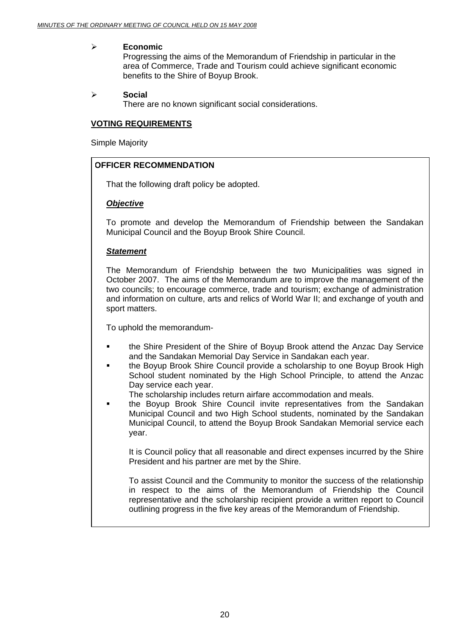#### ¾ **Economic**

Progressing the aims of the Memorandum of Friendship in particular in the area of Commerce, Trade and Tourism could achieve significant economic benefits to the Shire of Boyup Brook.

#### ¾ **Social**

There are no known significant social considerations.

#### **VOTING REQUIREMENTS**

Simple Majority

#### **OFFICER RECOMMENDATION**

That the following draft policy be adopted.

#### *Objective*

To promote and develop the Memorandum of Friendship between the Sandakan Municipal Council and the Boyup Brook Shire Council.

#### *Statement*

The Memorandum of Friendship between the two Municipalities was signed in October 2007. The aims of the Memorandum are to improve the management of the two councils; to encourage commerce, trade and tourism; exchange of administration and information on culture, arts and relics of World War II; and exchange of youth and sport matters.

To uphold the memorandum-

- the Shire President of the Shire of Boyup Brook attend the Anzac Day Service and the Sandakan Memorial Day Service in Sandakan each year.
- the Boyup Brook Shire Council provide a scholarship to one Boyup Brook High School student nominated by the High School Principle, to attend the Anzac Day service each year.
	- The scholarship includes return airfare accommodation and meals.
- the Boyup Brook Shire Council invite representatives from the Sandakan Municipal Council and two High School students, nominated by the Sandakan Municipal Council, to attend the Boyup Brook Sandakan Memorial service each year.

It is Council policy that all reasonable and direct expenses incurred by the Shire President and his partner are met by the Shire.

To assist Council and the Community to monitor the success of the relationship in respect to the aims of the Memorandum of Friendship the Council representative and the scholarship recipient provide a written report to Council outlining progress in the five key areas of the Memorandum of Friendship.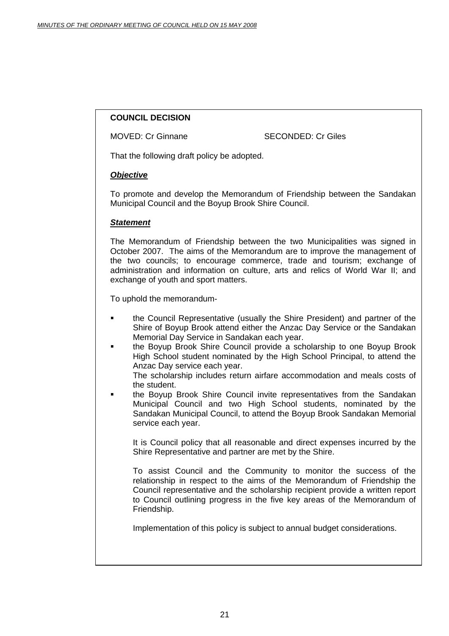# **COUNCIL DECISION**

MOVED: Cr Ginnane SECONDED: Cr Giles

That the following draft policy be adopted.

#### *Objective*

To promote and develop the Memorandum of Friendship between the Sandakan Municipal Council and the Boyup Brook Shire Council.

#### *Statement*

The Memorandum of Friendship between the two Municipalities was signed in October 2007. The aims of the Memorandum are to improve the management of the two councils; to encourage commerce, trade and tourism; exchange of administration and information on culture, arts and relics of World War II; and exchange of youth and sport matters.

To uphold the memorandum-

- the Council Representative (usually the Shire President) and partner of the Shire of Boyup Brook attend either the Anzac Day Service or the Sandakan Memorial Day Service in Sandakan each year.
- the Boyup Brook Shire Council provide a scholarship to one Boyup Brook High School student nominated by the High School Principal, to attend the Anzac Day service each year.

The scholarship includes return airfare accommodation and meals costs of the student.

 the Boyup Brook Shire Council invite representatives from the Sandakan Municipal Council and two High School students, nominated by the Sandakan Municipal Council, to attend the Boyup Brook Sandakan Memorial service each year.

It is Council policy that all reasonable and direct expenses incurred by the Shire Representative and partner are met by the Shire.

To assist Council and the Community to monitor the success of the relationship in respect to the aims of the Memorandum of Friendship the Council representative and the scholarship recipient provide a written report to Council outlining progress in the five key areas of the Memorandum of Friendship.

Implementation of this policy is subject to annual budget considerations.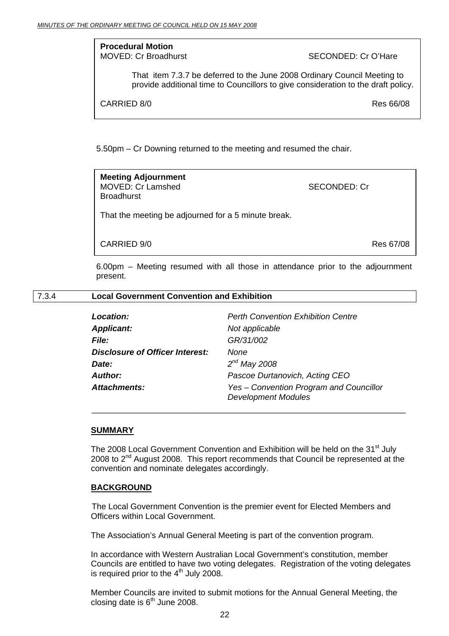**Procedural Motion**<br>MOVED: Cr Broadburst

SECONDED: Cr O'Hare

That item 7.3.7 be deferred to the June 2008 Ordinary Council Meeting to provide additional time to Councillors to give consideration to the draft policy.

CARRIED 8/0 Res 66/08

5.50pm – Cr Downing returned to the meeting and resumed the chair.

**Meeting Adjournment**  MOVED: Cr Lamshed SECONDED: Cr **Broadhurst** 

That the meeting be adjourned for a 5 minute break.

CARRIED 9/0 Res 67/08

6.00pm – Meeting resumed with all those in attendance prior to the adjournment present.

#### 7.3.4 **Local Government Convention and Exhibition**

| <b>Perth Convention Exhibition Centre</b>                             |
|-----------------------------------------------------------------------|
| Not applicable                                                        |
| GR/31/002                                                             |
| <b>None</b>                                                           |
| $2^{nd}$ May 2008                                                     |
| Pascoe Durtanovich, Acting CEO                                        |
| Yes - Convention Program and Councillor<br><b>Development Modules</b> |
|                                                                       |

#### **SUMMARY**

The 2008 Local Government Convention and Exhibition will be held on the 31<sup>st</sup> July 2008 to  $2^{nd}$  August 2008. This report recommends that Council be represented at the convention and nominate delegates accordingly.

\_\_\_\_\_\_\_\_\_\_\_\_\_\_\_\_\_\_\_\_\_\_\_\_\_\_\_\_\_\_\_\_\_\_\_\_\_\_\_\_\_\_\_\_\_\_\_\_\_\_\_\_\_\_\_\_\_\_\_\_\_\_\_\_\_\_\_\_

#### **BACKGROUND**

 The Local Government Convention is the premier event for Elected Members and Officers within Local Government.

The Association's Annual General Meeting is part of the convention program.

In accordance with Western Australian Local Government's constitution, member Councils are entitled to have two voting delegates. Registration of the voting delegates is required prior to the  $4<sup>th</sup>$  July 2008.

Member Councils are invited to submit motions for the Annual General Meeting, the closing date is  $6<sup>th</sup>$  June 2008.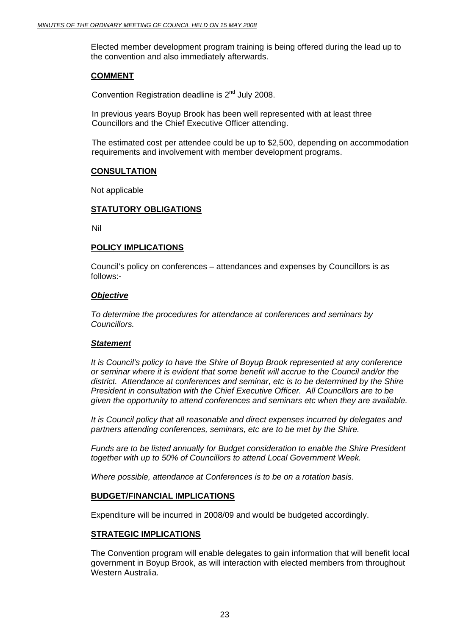Elected member development program training is being offered during the lead up to the convention and also immediately afterwards.

#### **COMMENT**

Convention Registration deadline is  $2<sup>nd</sup>$  July 2008.

In previous years Boyup Brook has been well represented with at least three Councillors and the Chief Executive Officer attending.

The estimated cost per attendee could be up to \$2,500, depending on accommodation requirements and involvement with member development programs.

#### **CONSULTATION**

Not applicable

#### **STATUTORY OBLIGATIONS**

Nil

#### **POLICY IMPLICATIONS**

Council's policy on conferences – attendances and expenses by Councillors is as follows:-

#### *Objective*

*To determine the procedures for attendance at conferences and seminars by Councillors.* 

#### *Statement*

*It is Council's policy to have the Shire of Boyup Brook represented at any conference or seminar where it is evident that some benefit will accrue to the Council and/or the district. Attendance at conferences and seminar, etc is to be determined by the Shire President in consultation with the Chief Executive Officer. All Councillors are to be given the opportunity to attend conferences and seminars etc when they are available.* 

*It is Council policy that all reasonable and direct expenses incurred by delegates and partners attending conferences, seminars, etc are to be met by the Shire.* 

*Funds are to be listed annually for Budget consideration to enable the Shire President together with up to 50% of Councillors to attend Local Government Week.* 

*Where possible, attendance at Conferences is to be on a rotation basis.* 

#### **BUDGET/FINANCIAL IMPLICATIONS**

Expenditure will be incurred in 2008/09 and would be budgeted accordingly.

#### **STRATEGIC IMPLICATIONS**

The Convention program will enable delegates to gain information that will benefit local government in Boyup Brook, as will interaction with elected members from throughout Western Australia.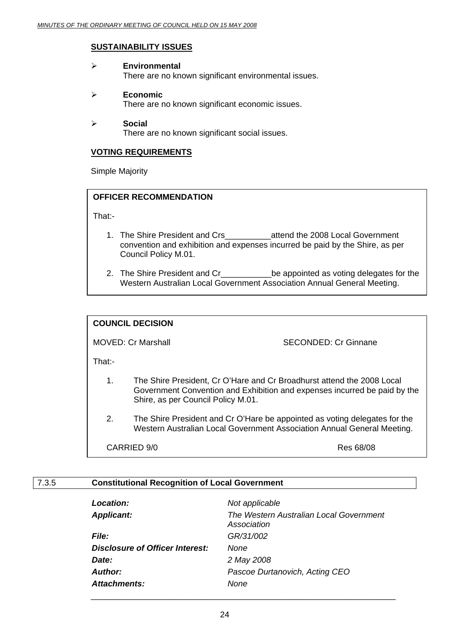#### **SUSTAINABILITY ISSUES**

#### ¾ **Environmental**  There are no known significant environmental issues.

¾ **Economic** 

There are no known significant economic issues.

#### ¾ **Social**

There are no known significant social issues.

#### **VOTING REQUIREMENTS**

Simple Majority

# **OFFICER RECOMMENDATION**

That:-

- 1. The Shire President and Crs\_\_\_\_\_\_\_\_\_\_attend the 2008 Local Government convention and exhibition and expenses incurred be paid by the Shire, as per Council Policy M.01.
- 2. The Shire President and Cr\_\_\_\_\_\_\_\_\_\_\_\_\_be appointed as voting delegates for the Western Australian Local Government Association Annual General Meeting.

#### **COUNCIL DECISION**

MOVED: Cr Marshall SECONDED: Cr Ginnane

That:-

- 1. The Shire President, Cr O'Hare and Cr Broadhurst attend the 2008 Local Government Convention and Exhibition and expenses incurred be paid by the Shire, as per Council Policy M.01.
- 2. The Shire President and Cr O'Hare be appointed as voting delegates for the Western Australian Local Government Association Annual General Meeting.

CARRIED 9/0 Res 68/08

# 7.3.5 **Constitutional Recognition of Local Government**

| <b>Location:</b>                | Not applicable                                         |
|---------------------------------|--------------------------------------------------------|
| <b>Applicant:</b>               | The Western Australian Local Government<br>Association |
| <i>File:</i>                    | GR/31/002                                              |
| Disclosure of Officer Interest: | None                                                   |
| Date:                           | 2 May 2008                                             |
| <b>Author:</b>                  | Pascoe Durtanovich, Acting CEO                         |
| <b>Attachments:</b>             | None                                                   |
|                                 |                                                        |

 $\overline{\phantom{a}}$  , and the contract of the contract of the contract of the contract of the contract of the contract of the contract of the contract of the contract of the contract of the contract of the contract of the contrac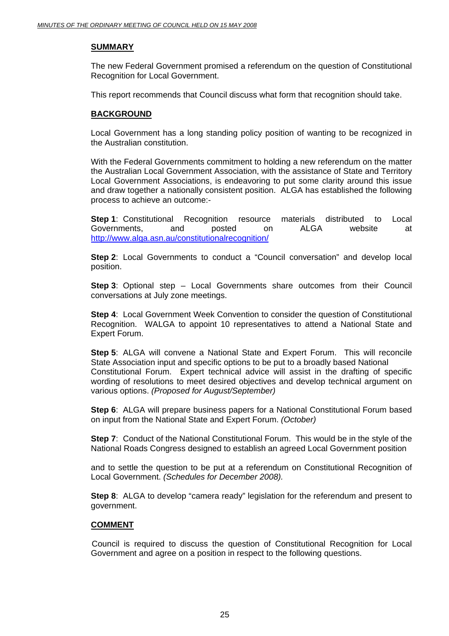#### **SUMMARY**

The new Federal Government promised a referendum on the question of Constitutional Recognition for Local Government.

This report recommends that Council discuss what form that recognition should take.

#### **BACKGROUND**

Local Government has a long standing policy position of wanting to be recognized in the Australian constitution.

With the Federal Governments commitment to holding a new referendum on the matter the Australian Local Government Association, with the assistance of State and Territory Local Government Associations, is endeavoring to put some clarity around this issue and draw together a nationally consistent position. ALGA has established the following process to achieve an outcome:-

**Step 1**: Constitutional Recognition resource materials distributed to Local Governments, and posted on ALGA website at http://www.alga.asn.au/constitutionalrecognition/

**Step 2**: Local Governments to conduct a "Council conversation" and develop local position.

**Step 3**: Optional step – Local Governments share outcomes from their Council conversations at July zone meetings.

**Step 4:** Local Government Week Convention to consider the question of Constitutional Recognition. WALGA to appoint 10 representatives to attend a National State and Expert Forum.

**Step 5**: ALGA will convene a National State and Expert Forum. This will reconcile State Association input and specific options to be put to a broadly based National Constitutional Forum. Expert technical advice will assist in the drafting of specific wording of resolutions to meet desired objectives and develop technical argument on various options. *(Proposed for August/September)* 

**Step 6:** ALGA will prepare business papers for a National Constitutional Forum based on input from the National State and Expert Forum. *(October)* 

**Step 7**: Conduct of the National Constitutional Forum. This would be in the style of the National Roads Congress designed to establish an agreed Local Government position

and to settle the question to be put at a referendum on Constitutional Recognition of Local Government. *(Schedules for December 2008).* 

**Step 8:** ALGA to develop "camera ready" legislation for the referendum and present to government.

#### **COMMENT**

 Council is required to discuss the question of Constitutional Recognition for Local Government and agree on a position in respect to the following questions.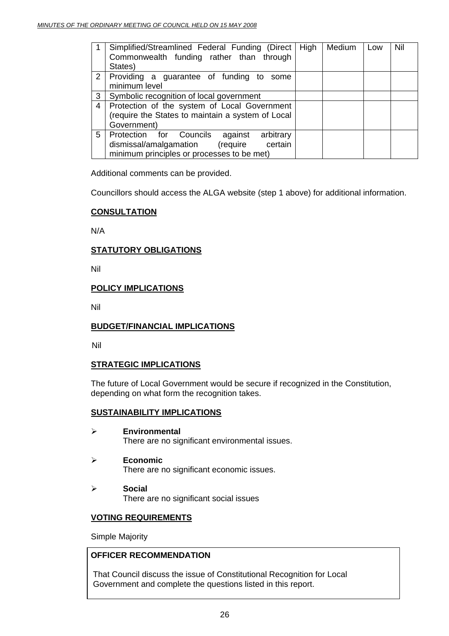|                | Simplified/Streamlined Federal Funding (Direct   High<br>Commonwealth funding rather than through<br>States)                                   |  | Medium | Low | Nil |
|----------------|------------------------------------------------------------------------------------------------------------------------------------------------|--|--------|-----|-----|
| 2 <sup>1</sup> | Providing a guarantee of funding to some<br>minimum level                                                                                      |  |        |     |     |
| 3 <sup>1</sup> | Symbolic recognition of local government                                                                                                       |  |        |     |     |
| 4              | Protection of the system of Local Government<br>(require the States to maintain a system of Local<br>Government)                               |  |        |     |     |
| 5              | Protection for Councils<br>arbitrary<br>against<br>dismissal/amalgamation<br>(require<br>certain<br>minimum principles or processes to be met) |  |        |     |     |

Additional comments can be provided.

Councillors should access the ALGA website (step 1 above) for additional information.

#### **CONSULTATION**

N/A

# **STATUTORY OBLIGATIONS**

Nil

#### **POLICY IMPLICATIONS**

Nil

#### **BUDGET/FINANCIAL IMPLICATIONS**

Nil

#### **STRATEGIC IMPLICATIONS**

The future of Local Government would be secure if recognized in the Constitution, depending on what form the recognition takes.

#### **SUSTAINABILITY IMPLICATIONS**

- ¾ **Environmental**  There are no significant environmental issues.
- ¾ **Economic**  There are no significant economic issues.
- ¾ **Social**  There are no significant social issues

#### **VOTING REQUIREMENTS**

Simple Majority

#### **OFFICER RECOMMENDATION**

That Council discuss the issue of Constitutional Recognition for Local Government and complete the questions listed in this report.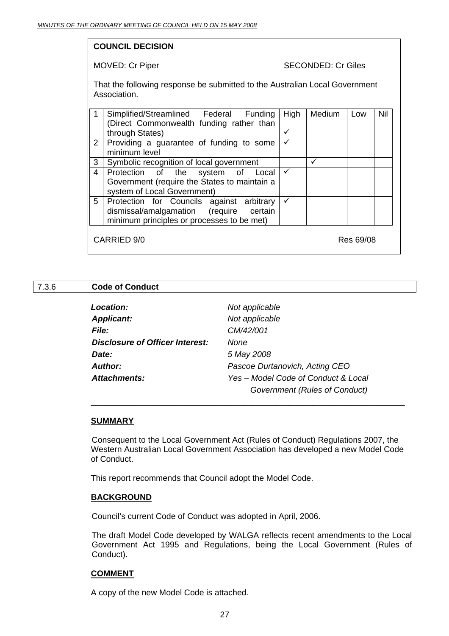# **COUNCIL DECISION**

#### MOVED: Cr Piper SECONDED: Cr Giles

That the following response be submitted to the Australian Local Government Association.

|                | Simplified/Streamlined Federal Funding        | High | Medium | Low       | <b>Nil</b> |
|----------------|-----------------------------------------------|------|--------|-----------|------------|
|                | (Direct Commonwealth funding rather than      |      |        |           |            |
|                | through States)                               | ✓    |        |           |            |
| $2^{\circ}$    | Providing a guarantee of funding to some      | ✓    |        |           |            |
|                | minimum level                                 |      |        |           |            |
| $\mathbf{3}$   | Symbolic recognition of local government      |      |        |           |            |
| $\overline{4}$ | Protection of the system of Local             | ✓    |        |           |            |
|                | Government (require the States to maintain a  |      |        |           |            |
|                | system of Local Government)                   |      |        |           |            |
|                | 5   Protection for Councils against arbitrary |      |        |           |            |
|                | dismissal/amalgamation (require certain       |      |        |           |            |
|                | minimum principles or processes to be met)    |      |        |           |            |
|                |                                               |      |        |           |            |
|                | CARRIED 9/0                                   |      |        | Res 69/08 |            |
|                |                                               |      |        |           |            |

#### 7.3.6 **Code of Conduct**

| <b>Location:</b>                       | Not applicable                      |
|----------------------------------------|-------------------------------------|
| <b>Applicant:</b>                      | Not applicable                      |
| <i>File:</i>                           | CM/42/001                           |
| <b>Disclosure of Officer Interest:</b> | None                                |
| Date:                                  | 5 May 2008                          |
| Author:                                | Pascoe Durtanovich, Acting CEO      |
| <b>Attachments:</b>                    | Yes – Model Code of Conduct & Local |
|                                        | Government (Rules of Conduct)       |

\_\_\_\_\_\_\_\_\_\_\_\_\_\_\_\_\_\_\_\_\_\_\_\_\_\_\_\_\_\_\_\_\_\_\_\_\_\_\_\_\_\_\_\_\_\_\_\_\_\_\_\_\_\_\_\_\_\_\_\_\_\_\_\_\_\_\_\_

#### **SUMMARY**

 Consequent to the Local Government Act (Rules of Conduct) Regulations 2007, the Western Australian Local Government Association has developed a new Model Code of Conduct.

This report recommends that Council adopt the Model Code.

#### **BACKGROUND**

Council's current Code of Conduct was adopted in April, 2006.

The draft Model Code developed by WALGA reflects recent amendments to the Local Government Act 1995 and Regulations, being the Local Government (Rules of Conduct).

#### **COMMENT**

A copy of the new Model Code is attached.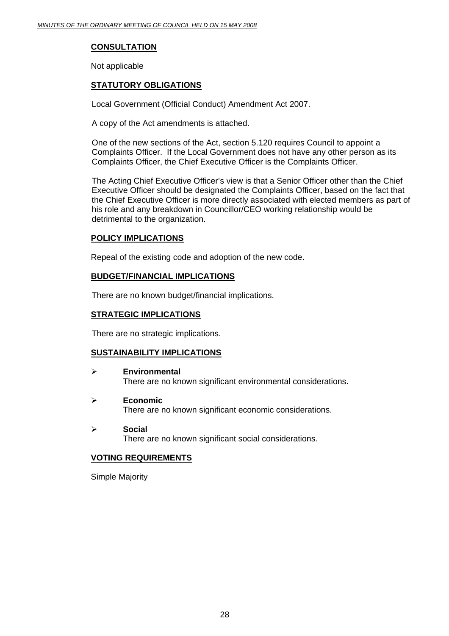# **CONSULTATION**

Not applicable

# **STATUTORY OBLIGATIONS**

Local Government (Official Conduct) Amendment Act 2007.

A copy of the Act amendments is attached.

One of the new sections of the Act, section 5.120 requires Council to appoint a Complaints Officer. If the Local Government does not have any other person as its Complaints Officer, the Chief Executive Officer is the Complaints Officer.

The Acting Chief Executive Officer's view is that a Senior Officer other than the Chief Executive Officer should be designated the Complaints Officer, based on the fact that the Chief Executive Officer is more directly associated with elected members as part of his role and any breakdown in Councillor/CEO working relationship would be detrimental to the organization.

#### **POLICY IMPLICATIONS**

Repeal of the existing code and adoption of the new code.

#### **BUDGET/FINANCIAL IMPLICATIONS**

There are no known budget/financial implications.

#### **STRATEGIC IMPLICATIONS**

There are no strategic implications.

#### **SUSTAINABILITY IMPLICATIONS**

- ¾ **Environmental**  There are no known significant environmental considerations.
- ¾ **Economic**

There are no known significant economic considerations.

¾ **Social** 

There are no known significant social considerations.

#### **VOTING REQUIREMENTS**

Simple Majority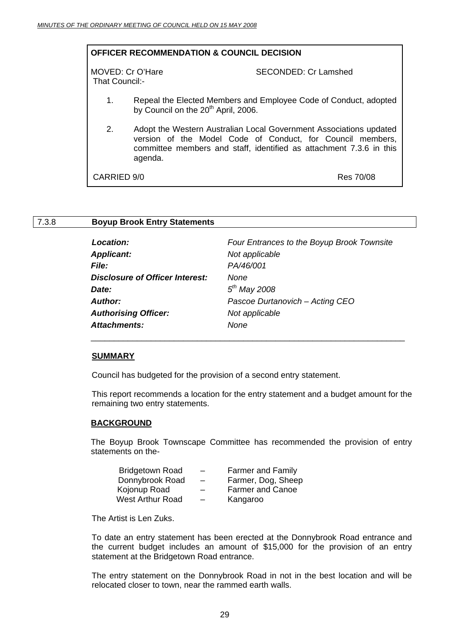|                                    | <b>OFFICER RECOMMENDATION &amp; COUNCIL DECISION</b> |                                                                                                                                                                                                         |
|------------------------------------|------------------------------------------------------|---------------------------------------------------------------------------------------------------------------------------------------------------------------------------------------------------------|
| MOVED: Cr O'Hare<br>That Council:- |                                                      | SECONDED: Cr Lamshed                                                                                                                                                                                    |
| 1.                                 | by Council on the 20 <sup>th</sup> April, 2006.      | Repeal the Elected Members and Employee Code of Conduct, adopted                                                                                                                                        |
| 2.                                 | agenda.                                              | Adopt the Western Australian Local Government Associations updated<br>version of the Model Code of Conduct, for Council members,<br>committee members and staff, identified as attachment 7.3.6 in this |
| CARRIED 9/0                        |                                                      | Res 70/08                                                                                                                                                                                               |
|                                    |                                                      |                                                                                                                                                                                                         |

#### 7.3.8 **Boyup Brook Entry Statements**

| Four Entrances to the Boyup Brook Townsite |
|--------------------------------------------|
| Not applicable                             |
| PA/46/001                                  |
| <b>None</b>                                |
| $5th$ May 2008                             |
| Pascoe Durtanovich - Acting CEO            |
| Not applicable                             |
| None                                       |
|                                            |

#### **SUMMARY**

Council has budgeted for the provision of a second entry statement.

 $\overline{\phantom{a}}$  , and the contract of the contract of the contract of the contract of the contract of the contract of the contract of the contract of the contract of the contract of the contract of the contract of the contrac

This report recommends a location for the entry statement and a budget amount for the remaining two entry statements.

#### **BACKGROUND**

The Boyup Brook Townscape Committee has recommended the provision of entry statements on the-

| $\overline{\phantom{0}}$ | <b>Farmer and Family</b> |
|--------------------------|--------------------------|
| $\overline{\phantom{m}}$ | Farmer, Dog, Sheep       |
| $\overline{\phantom{0}}$ | <b>Farmer and Canoe</b>  |
| $\overline{\phantom{0}}$ | Kangaroo                 |
|                          |                          |

The Artist is Len Zuks.

To date an entry statement has been erected at the Donnybrook Road entrance and the current budget includes an amount of \$15,000 for the provision of an entry statement at the Bridgetown Road entrance.

The entry statement on the Donnybrook Road in not in the best location and will be relocated closer to town, near the rammed earth walls.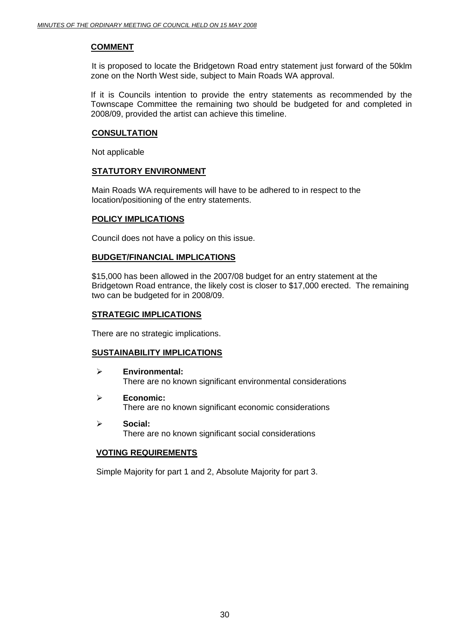#### **COMMENT**

 It is proposed to locate the Bridgetown Road entry statement just forward of the 50klm zone on the North West side, subject to Main Roads WA approval.

If it is Councils intention to provide the entry statements as recommended by the Townscape Committee the remaining two should be budgeted for and completed in 2008/09, provided the artist can achieve this timeline.

#### **CONSULTATION**

Not applicable

#### **STATUTORY ENVIRONMENT**

Main Roads WA requirements will have to be adhered to in respect to the location/positioning of the entry statements.

#### **POLICY IMPLICATIONS**

Council does not have a policy on this issue.

#### **BUDGET/FINANCIAL IMPLICATIONS**

\$15,000 has been allowed in the 2007/08 budget for an entry statement at the Bridgetown Road entrance, the likely cost is closer to \$17,000 erected. The remaining two can be budgeted for in 2008/09.

#### **STRATEGIC IMPLICATIONS**

There are no strategic implications.

#### **SUSTAINABILITY IMPLICATIONS**

- ¾ **Environmental:**  There are no known significant environmental considerations
- ¾ **Economic:**  There are no known significant economic considerations
- ¾ **Social:**  There are no known significant social considerations

#### **VOTING REQUIREMENTS**

Simple Majority for part 1 and 2, Absolute Majority for part 3.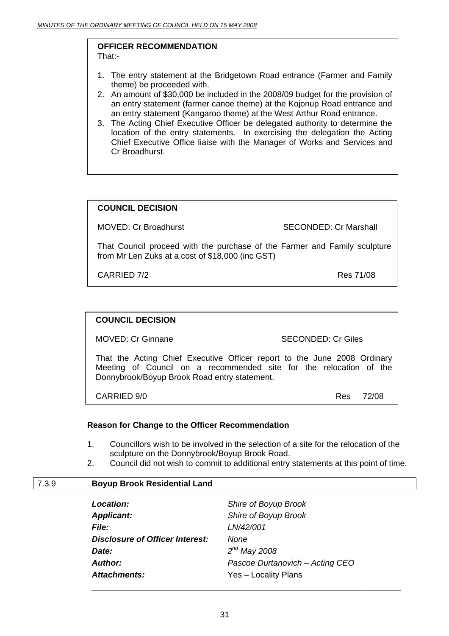#### **OFFICER RECOMMENDATION**  That:-

- 1. The entry statement at the Bridgetown Road entrance (Farmer and Family theme) be proceeded with.
- 2. An amount of \$30,000 be included in the 2008/09 budget for the provision of an entry statement (farmer canoe theme) at the Kojonup Road entrance and an entry statement (Kangaroo theme) at the West Arthur Road entrance.
- 3. The Acting Chief Executive Officer be delegated authority to determine the location of the entry statements. In exercising the delegation the Acting Chief Executive Office liaise with the Manager of Works and Services and Cr Broadhurst.

# **COUNCIL DECISION**

MOVED: Cr Broadhurst SECONDED: Cr Marshall

That Council proceed with the purchase of the Farmer and Family sculpture from Mr Len Zuks at a cost of \$18,000 (inc GST)

CARRIED 7/2 Res 71/08

#### **COUNCIL DECISION**

MOVED: Cr Ginnane SECONDED: Cr Giles

That the Acting Chief Executive Officer report to the June 2008 Ordinary Meeting of Council on a recommended site for the relocation of the Donnybrook/Boyup Brook Road entry statement.

CARRIED 9/0 Res 72/08

#### **Reason for Change to the Officer Recommendation**

- 1. Councillors wish to be involved in the selection of a site for the relocation of the sculpture on the Donnybrook/Boyup Brook Road.
- 2. Council did not wish to commit to additional entry statements at this point of time.

#### 7.3.9 **Boyup Brook Residential Land**

| <b>Location:</b>                       | Shire of Boyup Brook            |
|----------------------------------------|---------------------------------|
| <b>Applicant:</b>                      | Shire of Boyup Brook            |
| <i>File:</i>                           | LN/42/001                       |
| <b>Disclosure of Officer Interest:</b> | None                            |
| Date:                                  | $2^{nd}$ May 2008               |
| <b>Author:</b>                         | Pascoe Durtanovich - Acting CEO |
| <b>Attachments:</b>                    | Yes - Locality Plans            |
|                                        |                                 |

\_\_\_\_\_\_\_\_\_\_\_\_\_\_\_\_\_\_\_\_\_\_\_\_\_\_\_\_\_\_\_\_\_\_\_\_\_\_\_\_\_\_\_\_\_\_\_\_\_\_\_\_\_\_\_\_\_\_\_\_\_\_\_\_\_\_\_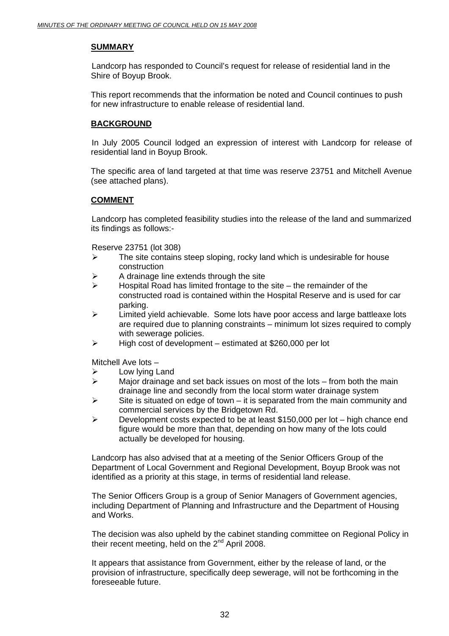#### **SUMMARY**

 Landcorp has responded to Council's request for release of residential land in the Shire of Boyup Brook.

This report recommends that the information be noted and Council continues to push for new infrastructure to enable release of residential land.

#### **BACKGROUND**

 In July 2005 Council lodged an expression of interest with Landcorp for release of residential land in Boyup Brook.

The specific area of land targeted at that time was reserve 23751 and Mitchell Avenue (see attached plans).

#### **COMMENT**

Landcorp has completed feasibility studies into the release of the land and summarized its findings as follows:-

Reserve 23751 (lot 308)

- $\triangleright$  The site contains steep sloping, rocky land which is undesirable for house construction
- $\triangleright$  A drainage line extends through the site
- $\triangleright$  Hospital Road has limited frontage to the site the remainder of the constructed road is contained within the Hospital Reserve and is used for car parking.
- ¾ Limited yield achievable. Some lots have poor access and large battleaxe lots are required due to planning constraints – minimum lot sizes required to comply with sewerage policies.
- $\triangleright$  High cost of development estimated at \$260,000 per lot

Mitchell Ave lots –

- Low lying Land
- $\triangleright$  Major drainage and set back issues on most of the lots from both the main drainage line and secondly from the local storm water drainage system
- $\triangleright$  Site is situated on edge of town it is separated from the main community and commercial services by the Bridgetown Rd.
- ¾ Development costs expected to be at least \$150,000 per lot high chance end figure would be more than that, depending on how many of the lots could actually be developed for housing.

Landcorp has also advised that at a meeting of the Senior Officers Group of the Department of Local Government and Regional Development, Boyup Brook was not identified as a priority at this stage, in terms of residential land release.

The Senior Officers Group is a group of Senior Managers of Government agencies, including Department of Planning and Infrastructure and the Department of Housing and Works.

The decision was also upheld by the cabinet standing committee on Regional Policy in their recent meeting, held on the  $2<sup>nd</sup>$  April 2008.

It appears that assistance from Government, either by the release of land, or the provision of infrastructure, specifically deep sewerage, will not be forthcoming in the foreseeable future.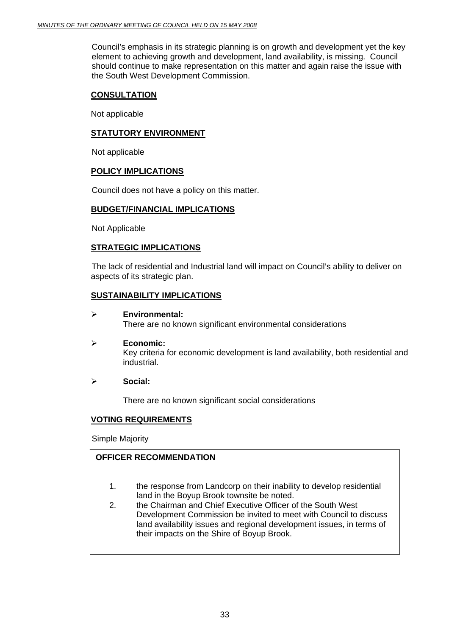Council's emphasis in its strategic planning is on growth and development yet the key element to achieving growth and development, land availability, is missing. Council should continue to make representation on this matter and again raise the issue with the South West Development Commission.

#### **CONSULTATION**

Not applicable

#### **STATUTORY ENVIRONMENT**

Not applicable

#### **POLICY IMPLICATIONS**

Council does not have a policy on this matter.

#### **BUDGET/FINANCIAL IMPLICATIONS**

Not Applicable

#### **STRATEGIC IMPLICATIONS**

 The lack of residential and Industrial land will impact on Council's ability to deliver on aspects of its strategic plan.

#### **SUSTAINABILITY IMPLICATIONS**

- ¾ **Environmental:**  There are no known significant environmental considerations
- ¾ **Economic:**  Key criteria for economic development is land availability, both residential and industrial.
- ¾ **Social:**

There are no known significant social considerations

#### **VOTING REQUIREMENTS**

Simple Majority

#### **OFFICER RECOMMENDATION**

- 1. the response from Landcorp on their inability to develop residential land in the Boyup Brook townsite be noted.
- 2. the Chairman and Chief Executive Officer of the South West Development Commission be invited to meet with Council to discuss land availability issues and regional development issues, in terms of their impacts on the Shire of Boyup Brook.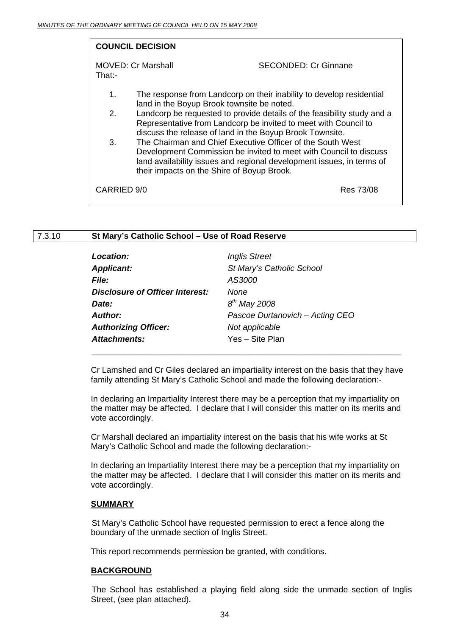|                | <b>COUNCIL DECISION</b>                                                                                                                                                                                                                                |                             |           |
|----------------|--------------------------------------------------------------------------------------------------------------------------------------------------------------------------------------------------------------------------------------------------------|-----------------------------|-----------|
| That:-         | MOVED: Cr Marshall                                                                                                                                                                                                                                     | <b>SECONDED: Cr Ginnane</b> |           |
| 1.             | The response from Landcorp on their inability to develop residential<br>land in the Boyup Brook townsite be noted.                                                                                                                                     |                             |           |
| 2 <sub>1</sub> | Landcorp be requested to provide details of the feasibility study and a<br>Representative from Landcorp be invited to meet with Council to<br>discuss the release of land in the Boyup Brook Townsite.                                                 |                             |           |
| 3.             | The Chairman and Chief Executive Officer of the South West<br>Development Commission be invited to meet with Council to discuss<br>land availability issues and regional development issues, in terms of<br>their impacts on the Shire of Boyup Brook. |                             |           |
| CARRIED 9/0    |                                                                                                                                                                                                                                                        |                             | Res 73/08 |

# 7.3.10 **St Mary's Catholic School – Use of Road Reserve**

| <b>Location:</b>                | <b>Inglis Street</b>            |
|---------------------------------|---------------------------------|
| <b>Applicant:</b>               | St Mary's Catholic School       |
| File:                           | AS3000                          |
| Disclosure of Officer Interest: | None                            |
| Date:                           | $8^{th}$ May 2008               |
| <b>Author:</b>                  | Pascoe Durtanovich - Acting CEO |
| <b>Authorizing Officer:</b>     | Not applicable                  |
| <b>Attachments:</b>             | Yes – Site Plan                 |

Cr Lamshed and Cr Giles declared an impartiality interest on the basis that they have family attending St Mary's Catholic School and made the following declaration:-

In declaring an Impartiality Interest there may be a perception that my impartiality on the matter may be affected. I declare that I will consider this matter on its merits and vote accordingly.

Cr Marshall declared an impartiality interest on the basis that his wife works at St Mary's Catholic School and made the following declaration:-

In declaring an Impartiality Interest there may be a perception that my impartiality on the matter may be affected. I declare that I will consider this matter on its merits and vote accordingly.

#### **SUMMARY**

 St Mary's Catholic School have requested permission to erect a fence along the boundary of the unmade section of Inglis Street.

This report recommends permission be granted, with conditions.

#### **BACKGROUND**

 The School has established a playing field along side the unmade section of Inglis Street, (see plan attached).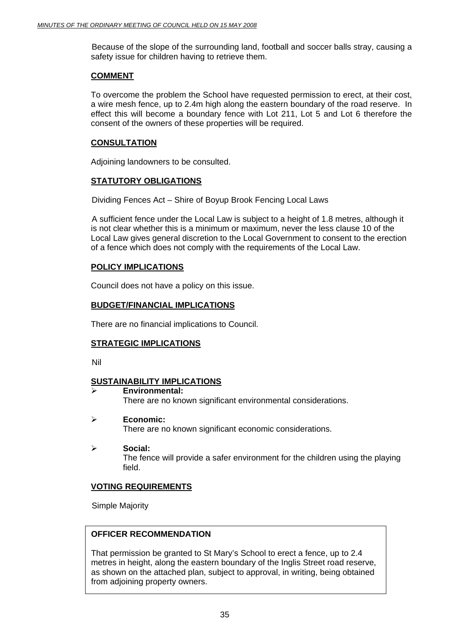Because of the slope of the surrounding land, football and soccer balls stray, causing a safety issue for children having to retrieve them.

#### **COMMENT**

To overcome the problem the School have requested permission to erect, at their cost, a wire mesh fence, up to 2.4m high along the eastern boundary of the road reserve. In effect this will become a boundary fence with Lot 211, Lot 5 and Lot 6 therefore the consent of the owners of these properties will be required.

# **CONSULTATION**

Adjoining landowners to be consulted.

# **STATUTORY OBLIGATIONS**

Dividing Fences Act – Shire of Boyup Brook Fencing Local Laws

 A sufficient fence under the Local Law is subject to a height of 1.8 metres, although it is not clear whether this is a minimum or maximum, never the less clause 10 of the Local Law gives general discretion to the Local Government to consent to the erection of a fence which does not comply with the requirements of the Local Law.

# **POLICY IMPLICATIONS**

Council does not have a policy on this issue.

# **BUDGET/FINANCIAL IMPLICATIONS**

There are no financial implications to Council.

# **STRATEGIC IMPLICATIONS**

Nil

# **SUSTAINABILITY IMPLICATIONS**

- ¾ **Environmental:**  There are no known significant environmental considerations.
- ¾ **Economic:**  There are no known significant economic considerations.
- ¾ **Social:**  The fence will provide a safer environment for the children using the playing field.

# **VOTING REQUIREMENTS**

Simple Majority

# **OFFICER RECOMMENDATION**

That permission be granted to St Mary's School to erect a fence, up to 2.4 metres in height, along the eastern boundary of the Inglis Street road reserve, as shown on the attached plan, subject to approval, in writing, being obtained from adjoining property owners.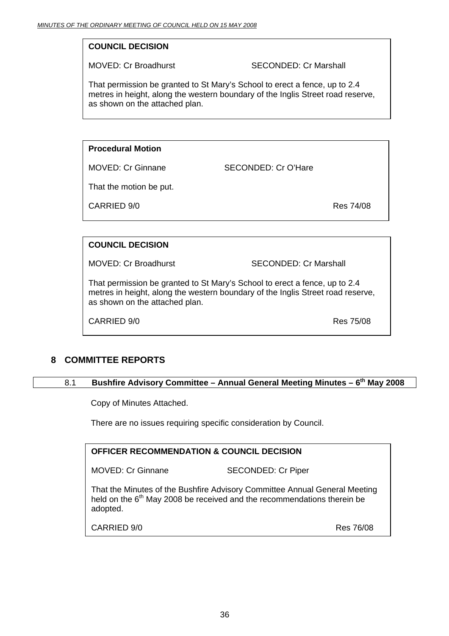# **COUNCIL DECISION**

MOVED: Cr Broadhurst SECONDED: Cr Marshall

That permission be granted to St Mary's School to erect a fence, up to 2.4 metres in height, along the western boundary of the Inglis Street road reserve, as shown on the attached plan.

# **Procedural Motion**

MOVED: Cr Ginnane SECONDED: Cr O'Hare

That the motion be put.

CARRIED 9/0 Res 74/08

# **COUNCIL DECISION**

MOVED: Cr Broadhurst SECONDED: Cr Marshall

That permission be granted to St Mary's School to erect a fence, up to 2.4 metres in height, along the western boundary of the Inglis Street road reserve, as shown on the attached plan.

CARRIED 9/0

# **8 COMMITTEE REPORTS**

#### 8.1 **Bushfire Advisory Committee – Annual General Meeting Minutes – 6<sup>th</sup> May 2008**

Copy of Minutes Attached.

There are no issues requiring specific consideration by Council.

| <b>OFFICER RECOMMENDATION &amp; COUNCIL DECISION</b> |
|------------------------------------------------------|
|------------------------------------------------------|

MOVED: Cr Ginnane SECONDED: Cr Piper

That the Minutes of the Bushfire Advisory Committee Annual General Meeting held on the  $6<sup>th</sup>$  May 2008 be received and the recommendations therein be adopted.

Res 76/08